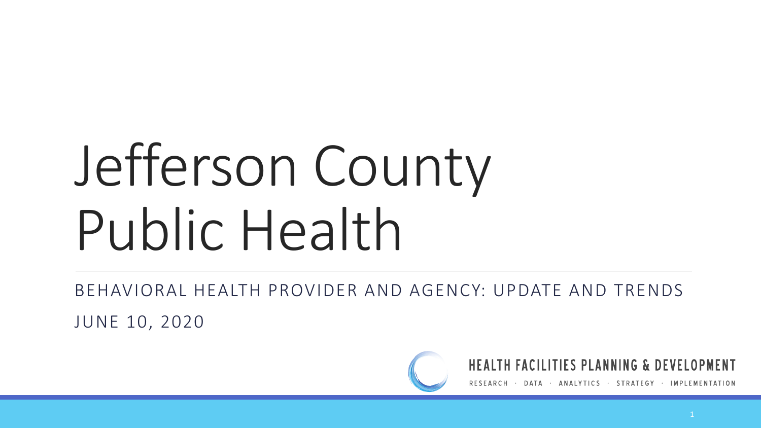# Jefferson County Public Health

BEHAVIORAL HEALTH PROVIDER AND AGENCY: UPDATE AND TRENDS

JUNE 10, 2020



**HEALTH FACILITIES PLANNING & DEVELOPMENT** 

ANALYTICS · STRATEGY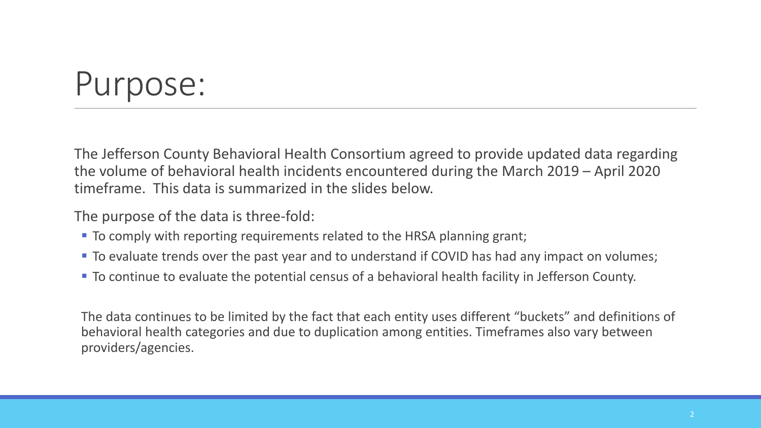# Purpose:

The Jefferson County Behavioral Health Consortium agreed to provide updated data regarding the volume of behavioral health incidents encountered during the March 2019 – April 2020 timeframe. This data is summarized in the slides below.

The purpose of the data is three-fold:

- To comply with reporting requirements related to the HRSA planning grant;
- To evaluate trends over the past year and to understand if COVID has had any impact on volumes;
- To continue to evaluate the potential census of a behavioral health facility in Jefferson County.

The data continues to be limited by the fact that each entity uses different "buckets" and definitions of behavioral health categories and due to duplication among entities. Timeframes also vary between providers/agencies.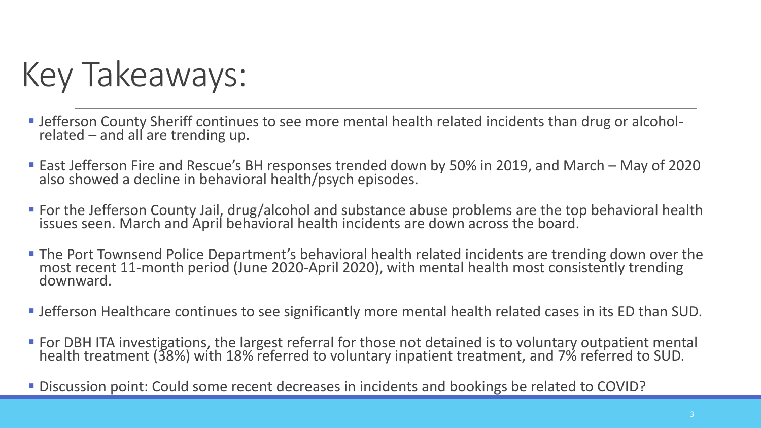Key Takeaways:

- Jefferson County Sheriff continues to see more mental health related incidents than drug or alcoholrelated – and all are trending up.
- East Jefferson Fire and Rescue's BH responses trended down by 50% in 2019, and March May of 2020 also showed a decline in behavioral health/psych episodes.
- **For the Jefferson County Jail, drug/alcohol and substance abuse problems are the top behavioral health** issues seen. March and April behavioral health incidents are down across the board.
- **The Port Townsend Police Department's behavioral health related incidents are trending down over the** most recent 11-month period (June 2020-April 2020), with mental health most consistently trending downward.
- Jefferson Healthcare continues to see significantly more mental health related cases in its ED than SUD.
- For DBH ITA investigations, the largest referral for those not detained is to voluntary outpatient mental health treatment (38%) with 18% referred to voluntary inpatient treatment, and 7% referred to SUD.
- Discussion point: Could some recent decreases in incidents and bookings be related to COVID?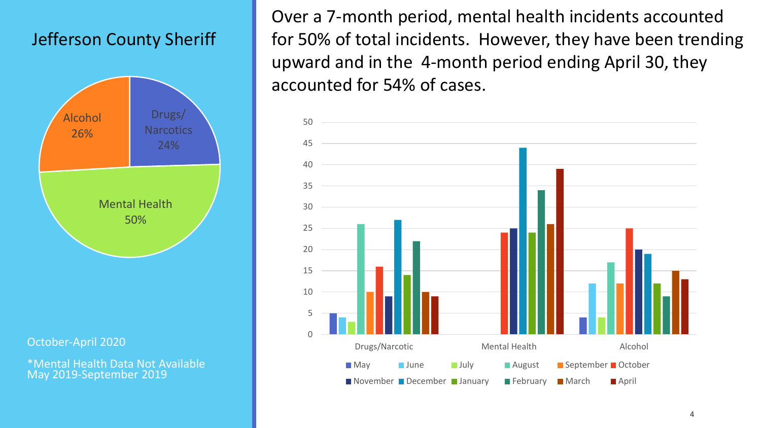### Jefferson County Sheriff



October-April 2020

\*Mental Health Data Not Available May 2019-September 2019

Over a 7-month period, mental health incidents accounted for 50% of total incidents. However, they have been trending upward and in the 4-month period ending April 30, they accounted for 54% of cases.

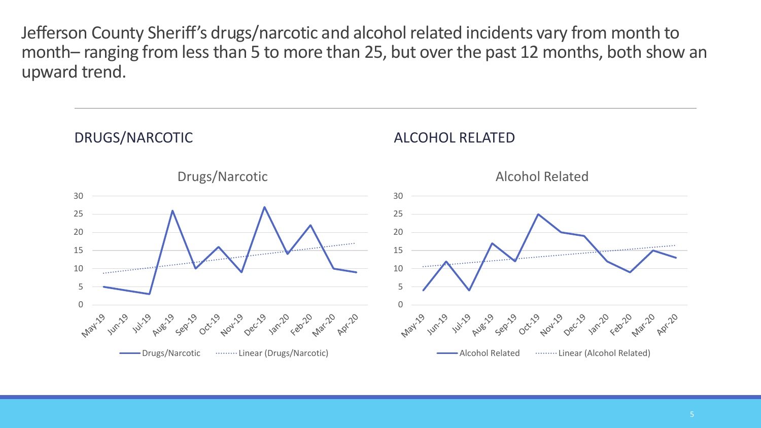Jefferson County Sheriff's drugs/narcotic and alcohol related incidents vary from month to month– ranging from less than 5 to more than 25, but over the past 12 months, both show an upward trend.

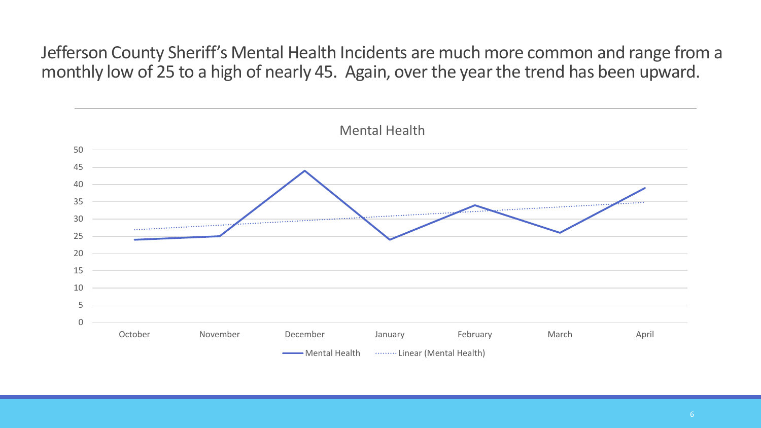Jefferson County Sheriff's Mental Health Incidents are much more common and range from a monthly low of 25 to a high of nearly 45. Again, over the year the trend has been upward.

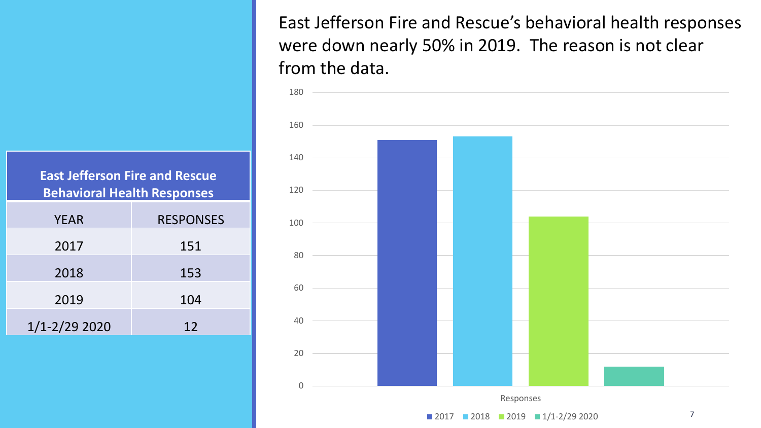East Jefferson Fire and Rescue's behavioral health responses were down nearly 50% in 2019. The reason is not clear from the data.



**East Jefferson Fire and Rescue Behavioral Health Responses**

| <b>YEAR</b>       | <b>RESPONSES</b> |  |  |  |
|-------------------|------------------|--|--|--|
| 2017              | 151              |  |  |  |
| 2018              | 153              |  |  |  |
| 2019              | 104              |  |  |  |
| $1/1 - 2/29$ 2020 | 12               |  |  |  |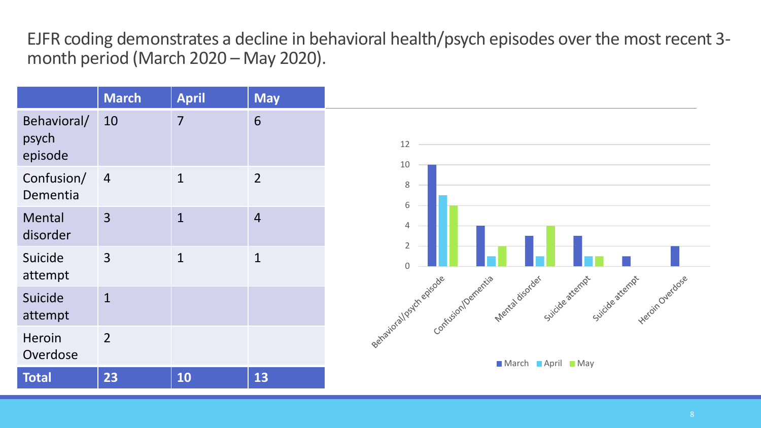EJFR coding demonstrates a decline in behavioral health/psych episodes over the most recent 3 month period (March 2020 – May 2020).

|                                 | <b>March</b>   | <b>April</b>   | <b>May</b>      |
|---------------------------------|----------------|----------------|-----------------|
| Behavioral/<br>psych<br>episode | 10             | $\overline{7}$ | $6\overline{6}$ |
| Confusion/<br>Dementia          | $\overline{4}$ | $\mathbf{1}$   | $\overline{2}$  |
| Mental<br>disorder              | $\overline{3}$ | $\mathbf{1}$   | $\overline{4}$  |
| Suicide<br>attempt              | $\overline{3}$ | $\mathbf{1}$   | $\mathbf{1}$    |
| Suicide<br>attempt              | $\mathbf{1}$   |                |                 |
| Heroin<br>Overdose              | $\overline{2}$ |                |                 |
| <b>Total</b>                    | 23             | 10             | 13              |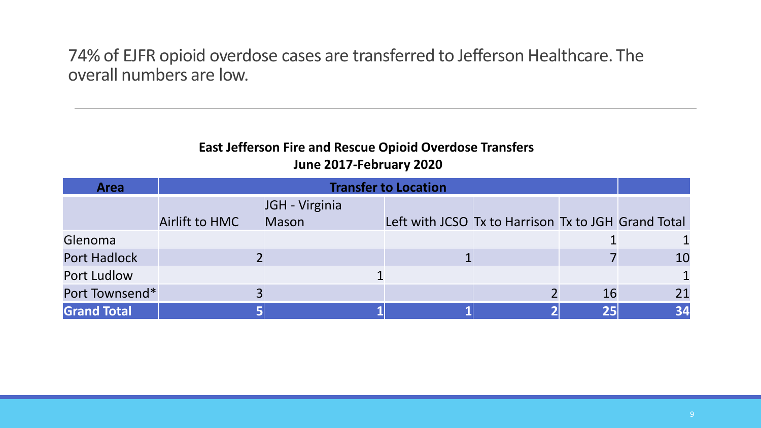74% of EJFR opioid overdose cases are transferred to Jefferson Healthcare. The overall numbers are low.

#### **East Jefferson Fire and Rescue Opioid Overdose Transfers June 2017-February 2020**

| <b>Area</b>         | <b>Transfer to Location</b> |                |                                                     |  |    |              |  |  |
|---------------------|-----------------------------|----------------|-----------------------------------------------------|--|----|--------------|--|--|
|                     |                             | JGH - Virginia |                                                     |  |    |              |  |  |
|                     | Airlift to HMC              | <b>Mason</b>   | Left with JCSO Tx to Harrison Tx to JGH Grand Total |  |    |              |  |  |
| Glenoma             |                             |                |                                                     |  |    |              |  |  |
| <b>Port Hadlock</b> |                             |                |                                                     |  |    | 10           |  |  |
| <b>Port Ludlow</b>  |                             |                |                                                     |  |    | $\mathbf{1}$ |  |  |
| Port Townsend*      |                             |                |                                                     |  | 16 | 21           |  |  |
| <b>Grand Total</b>  |                             |                |                                                     |  |    | 34           |  |  |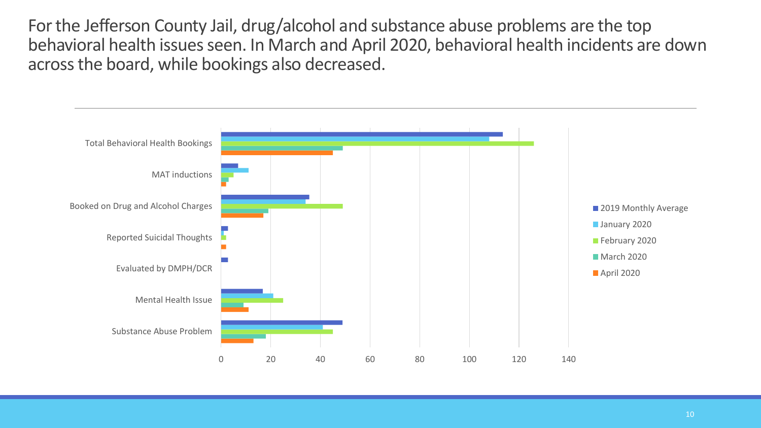For the Jefferson County Jail, drug/alcohol and substance abuse problems are the top behavioral health issues seen. In March and April 2020, behavioral health incidents are down across the board, while bookings also decreased.

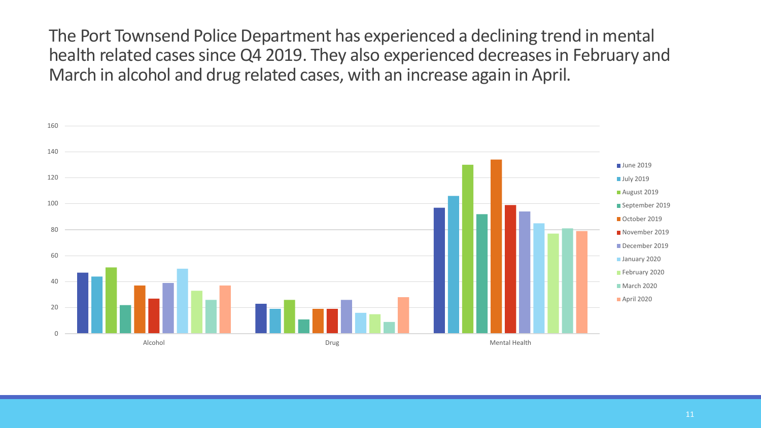The Port Townsend Police Department has experienced a declining trend in mental health related cases since Q4 2019. They also experienced decreases in February and March in alcohol and drug related cases, with an increase again in April.

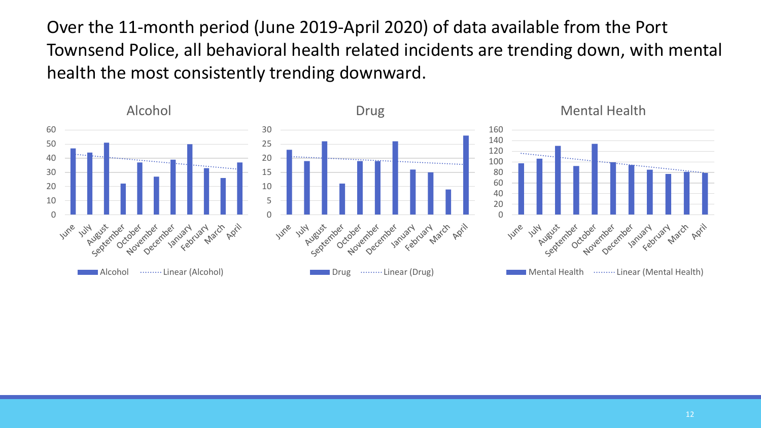Over the 11-month period (June 2019-April 2020) of data available from the Port Townsend Police, all behavioral health related incidents are trending down, with mental health the most consistently trending downward.

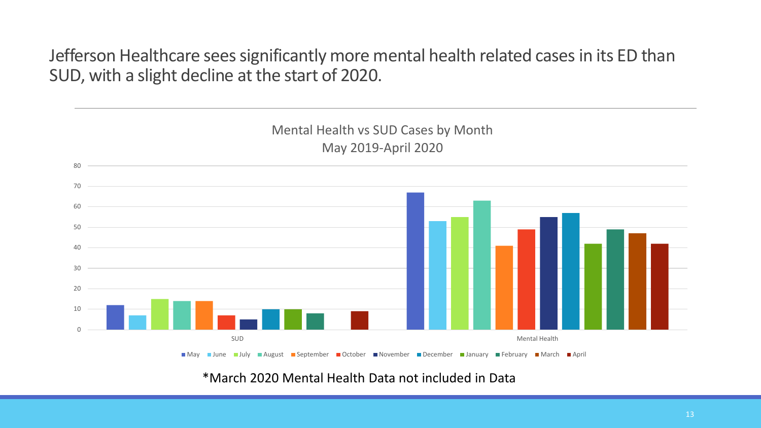Jefferson Healthcare sees significantly more mental health related cases in its ED than SUD, with a slight decline at the start of 2020.



\*March 2020 Mental Health Data not included in Data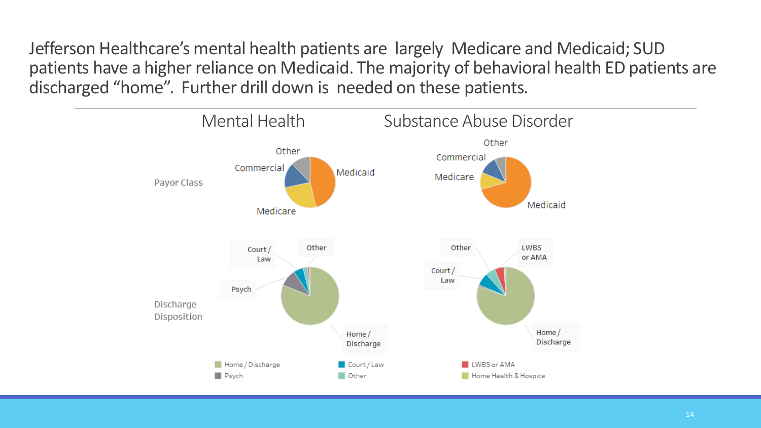Jefferson Healthcare's mental health patients are largely Medicare and Medicaid; SUD patients have a higher reliance on Medicaid. The majority of behavioral health ED patients are discharged "home". Further drill down is needed on these patients.

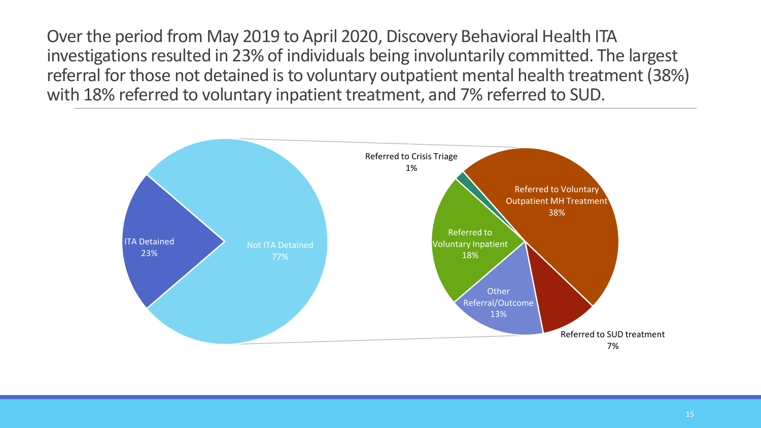Over the period from May 2019 to April 2020, Discovery Behavioral Health ITA investigations resulted in 23% of individuals being involuntarily committed. The largest referral for those not detained is to voluntary outpatient mental health treatment (38%) with 18% referred to voluntary inpatient treatment, and 7% referred to SUD.

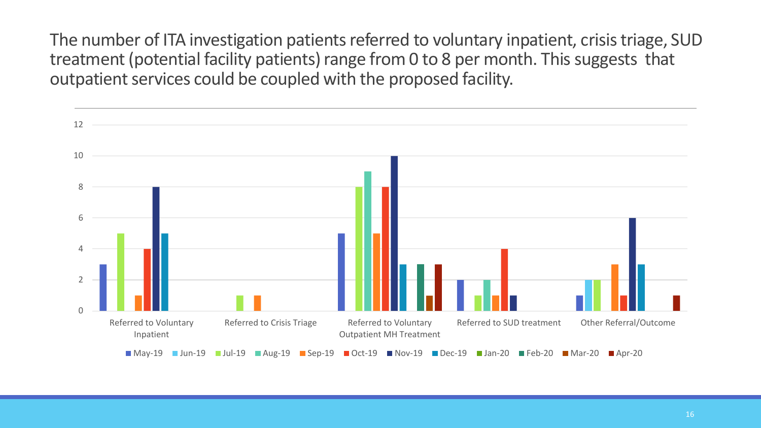The number of ITA investigation patients referred to voluntary inpatient, crisis triage, SUD treatment (potential facility patients) range from 0 to 8 per month. This suggests that outpatient services could be coupled with the proposed facility.